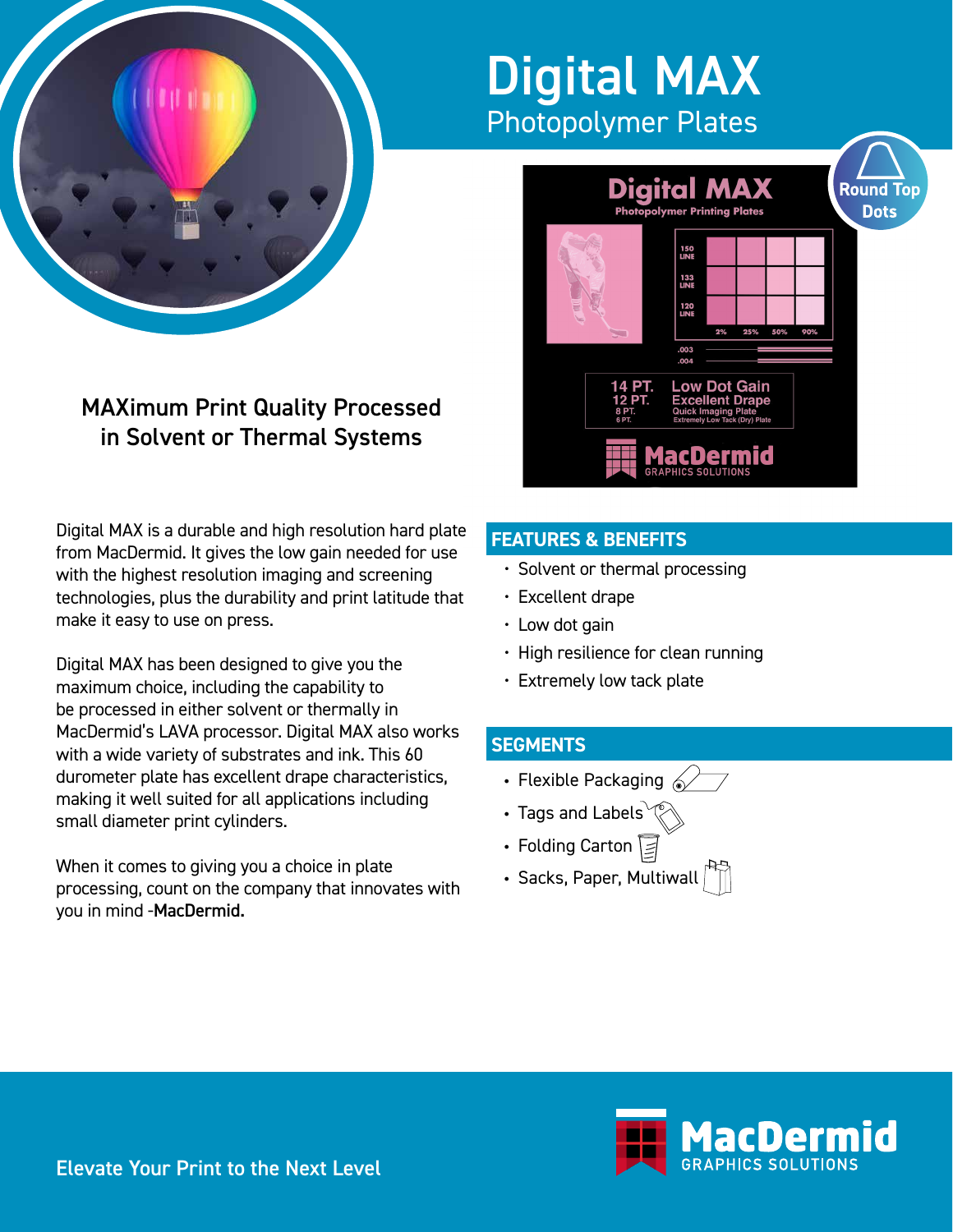

# Digital MAX Photopolymer Plates



# MAXimum Print Quality Processed in Solvent or Thermal Systems

Digital MAX is a durable and high resolution hard plate from MacDermid. It gives the low gain needed for use with the highest resolution imaging and screening technologies, plus the durability and print latitude that make it easy to use on press.

Digital MAX has been designed to give you the maximum choice, including the capability to be processed in either solvent or thermally in MacDermid's LAVA processor. Digital MAX also works with a wide variety of substrates and ink. This 60 durometer plate has excellent drape characteristics, making it well suited for all applications including small diameter print cylinders.

When it comes to giving you a choice in plate processing, count on the company that innovates with you in mind -MacDermid.

# **FEATURES & BENEFITS**

- Solvent or thermal processing
- Excellent drape
- Low dot gain
- High resilience for clean running
- Extremely low tack plate

## **SEGMENTS**

- Flexible Packaging  $\mathscr{D}$
- Tags and Labels $^{\sim}$
- Folding Carton ≥
- Sacks, Paper, Multiwall